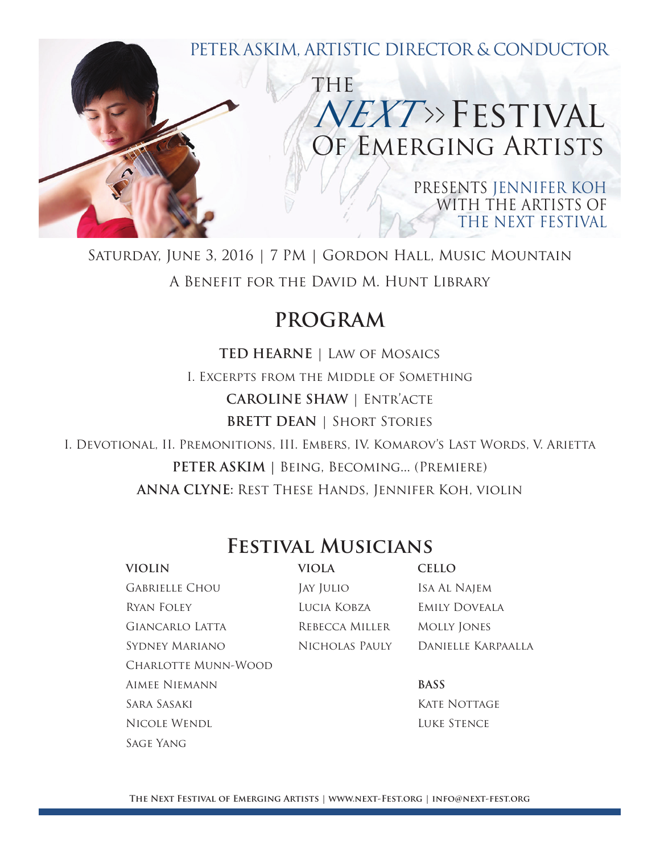

Saturday, June 3, 2016 | 7 PM | Gordon Hall, Music Mountain A Benefit for the David M. Hunt Library

## **PROGRAM**

**TED HEARNE** | Law of Mosaics I. Excerpts from the Middle of Something **CAROLINE SHAW** | Entr'acte **BRETT DEAN** | Short Stories

I. Devotional, II. Premonitions, III. Embers, IV. Komarov's Last Words, V. Arietta **PETER ASKIM |** Being, Becoming... (Premiere) **ANNA CLYNE:** Rest These Hands, Jennifer Koh, violin

## **Festival Musicians**

| <b>VIOLIN</b>              | VIOLA          | <b>CELLO</b>         |
|----------------------------|----------------|----------------------|
| <b>GABRIELLE CHOU</b>      | JAY JULIO      | ISA AL NAJEM         |
| Ryan Foley                 | LUCIA KOBZA    | <b>EMILY DOVEALA</b> |
| <b>GIANCARLO LATTA</b>     | REBECCA MILLER | <b>MOLLY JONES</b>   |
| SYDNEY MARIANO             | NICHOLAS PAULY | Danielle Karpaalla   |
| <b>CHARLOTTE MUNN-WOOD</b> |                |                      |
| AIMEE NIEMANN              |                | <b>BASS</b>          |
| SARA SASAKI                |                | KATE NOTTAGE         |
| NICOLE WENDL               |                | <b>LUKE STENCE</b>   |

Sage Yang